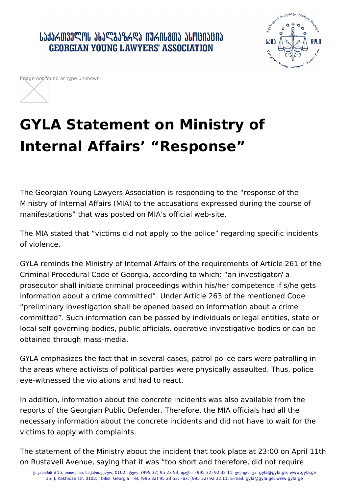ՐԴԳՐԱՏԱՐԱՐԻ ԳԵՏՐԱՏԻՆ ԳՐԱՐԱՆՈՆ ԱՐԱՆԵՐԻ **GEORGIAN YOUNG LAWYERS' ASSOCIATION** 





## **GYLA Statement on Ministry of Internal Affairs' "Response"**

The Georgian Young Lawyers Association is responding to the "response of the Ministry of Internal Affairs (MIA) to the accusations expressed during the course of manifestations" that was posted on MIA's official web-site.

The MIA stated that "victims did not apply to the police" regarding specific incidents of violence.

GYLA reminds the Ministry of Internal Affairs of the requirements of Article 261 of the Criminal Procedural Code of Georgia, according to which: "an investigator/ a prosecutor shall initiate criminal proceedings within his/her competence if s/he gets information about a crime committed". Under Article 263 of the mentioned Code "preliminary investigation shall be opened based on information about a crime committed". Such information can be passed by individuals or legal entities, state or local self-governing bodies, public officials, operative-investigative bodies or can be obtained through mass-media.

GYLA emphasizes the fact that in several cases, patrol police cars were patrolling in the areas where activists of political parties were physically assaulted. Thus, police eye-witnessed the violations and had to react.

In addition, information about the concrete incidents was also available from the reports of the Georgian Public Defender. Therefore, the MIA officials had all the necessary information about the concrete incidents and did not have to wait for the victims to apply with complaints.

The statement of the Ministry about the incident that took place at 23:00 on April 11th on Rustaveli Avenue, saying that it was "too short and therefore, did not require